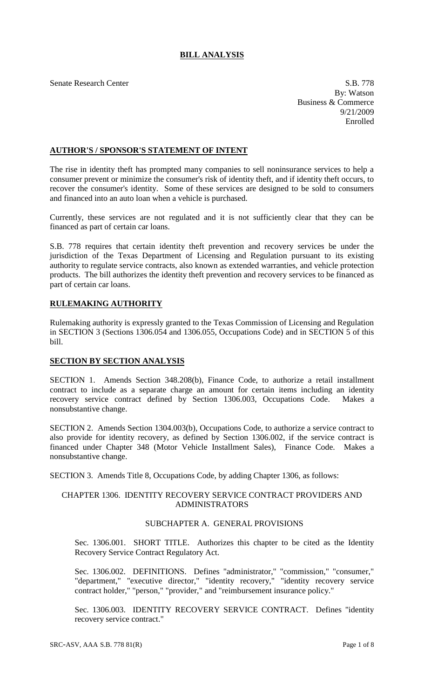# **BILL ANALYSIS**

Senate Research Center S.B. 778

By: Watson Business & Commerce 9/21/2009 Enrolled

## **AUTHOR'S / SPONSOR'S STATEMENT OF INTENT**

The rise in identity theft has prompted many companies to sell noninsurance services to help a consumer prevent or minimize the consumer's risk of identity theft, and if identity theft occurs, to recover the consumer's identity. Some of these services are designed to be sold to consumers and financed into an auto loan when a vehicle is purchased.

Currently, these services are not regulated and it is not sufficiently clear that they can be financed as part of certain car loans.

S.B. 778 requires that certain identity theft prevention and recovery services be under the jurisdiction of the Texas Department of Licensing and Regulation pursuant to its existing authority to regulate service contracts, also known as extended warranties, and vehicle protection products. The bill authorizes the identity theft prevention and recovery services to be financed as part of certain car loans.

# **RULEMAKING AUTHORITY**

Rulemaking authority is expressly granted to the Texas Commission of Licensing and Regulation in SECTION 3 (Sections 1306.054 and 1306.055, Occupations Code) and in SECTION 5 of this bill.

## **SECTION BY SECTION ANALYSIS**

SECTION 1. Amends Section 348.208(b), Finance Code, to authorize a retail installment contract to include as a separate charge an amount for certain items including an identity recovery service contract defined by Section 1306.003, Occupations Code. Makes a nonsubstantive change.

SECTION 2. Amends Section 1304.003(b), Occupations Code, to authorize a service contract to also provide for identity recovery, as defined by Section 1306.002, if the service contract is financed under Chapter 348 (Motor Vehicle Installment Sales), Finance Code. Makes a nonsubstantive change.

SECTION 3. Amends Title 8, Occupations Code, by adding Chapter 1306, as follows:

## CHAPTER 1306. IDENTITY RECOVERY SERVICE CONTRACT PROVIDERS AND ADMINISTRATORS

# SUBCHAPTER A. GENERAL PROVISIONS

Sec. 1306.001. SHORT TITLE. Authorizes this chapter to be cited as the Identity Recovery Service Contract Regulatory Act.

Sec. 1306.002. DEFINITIONS. Defines "administrator," "commission," "consumer," "department," "executive director," "identity recovery," "identity recovery service contract holder," "person," "provider," and "reimbursement insurance policy."

Sec. 1306.003. IDENTITY RECOVERY SERVICE CONTRACT. Defines "identity recovery service contract."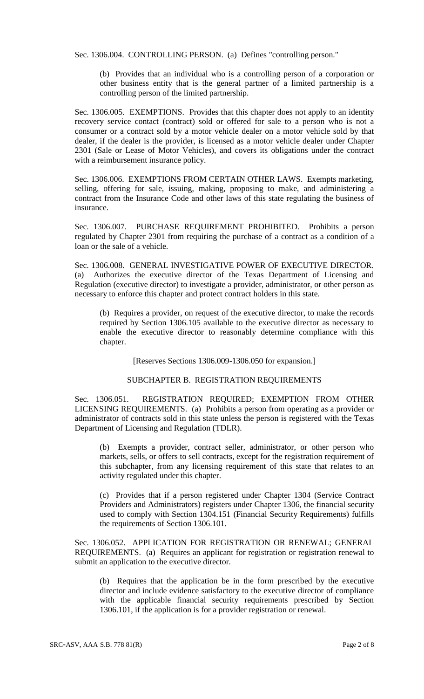Sec. 1306.004. CONTROLLING PERSON. (a) Defines "controlling person."

(b) Provides that an individual who is a controlling person of a corporation or other business entity that is the general partner of a limited partnership is a controlling person of the limited partnership.

Sec. 1306.005. EXEMPTIONS. Provides that this chapter does not apply to an identity recovery service contact (contract) sold or offered for sale to a person who is not a consumer or a contract sold by a motor vehicle dealer on a motor vehicle sold by that dealer, if the dealer is the provider, is licensed as a motor vehicle dealer under Chapter 2301 (Sale or Lease of Motor Vehicles), and covers its obligations under the contract with a reimbursement insurance policy.

Sec. 1306.006. EXEMPTIONS FROM CERTAIN OTHER LAWS. Exempts marketing, selling, offering for sale, issuing, making, proposing to make, and administering a contract from the Insurance Code and other laws of this state regulating the business of insurance.

Sec. 1306.007. PURCHASE REQUIREMENT PROHIBITED. Prohibits a person regulated by Chapter 2301 from requiring the purchase of a contract as a condition of a loan or the sale of a vehicle.

Sec. 1306.008. GENERAL INVESTIGATIVE POWER OF EXECUTIVE DIRECTOR. (a) Authorizes the executive director of the Texas Department of Licensing and Regulation (executive director) to investigate a provider, administrator, or other person as necessary to enforce this chapter and protect contract holders in this state.

(b) Requires a provider, on request of the executive director, to make the records required by Section 1306.105 available to the executive director as necessary to enable the executive director to reasonably determine compliance with this chapter.

[Reserves Sections 1306.009-1306.050 for expansion.]

## SUBCHAPTER B. REGISTRATION REQUIREMENTS

Sec. 1306.051. REGISTRATION REQUIRED; EXEMPTION FROM OTHER LICENSING REQUIREMENTS. (a) Prohibits a person from operating as a provider or administrator of contracts sold in this state unless the person is registered with the Texas Department of Licensing and Regulation (TDLR).

(b) Exempts a provider, contract seller, administrator, or other person who markets, sells, or offers to sell contracts, except for the registration requirement of this subchapter, from any licensing requirement of this state that relates to an activity regulated under this chapter.

(c) Provides that if a person registered under Chapter 1304 (Service Contract Providers and Administrators) registers under Chapter 1306, the financial security used to comply with Section 1304.151 (Financial Security Requirements) fulfills the requirements of Section 1306.101.

Sec. 1306.052. APPLICATION FOR REGISTRATION OR RENEWAL; GENERAL REQUIREMENTS. (a) Requires an applicant for registration or registration renewal to submit an application to the executive director.

(b) Requires that the application be in the form prescribed by the executive director and include evidence satisfactory to the executive director of compliance with the applicable financial security requirements prescribed by Section 1306.101, if the application is for a provider registration or renewal.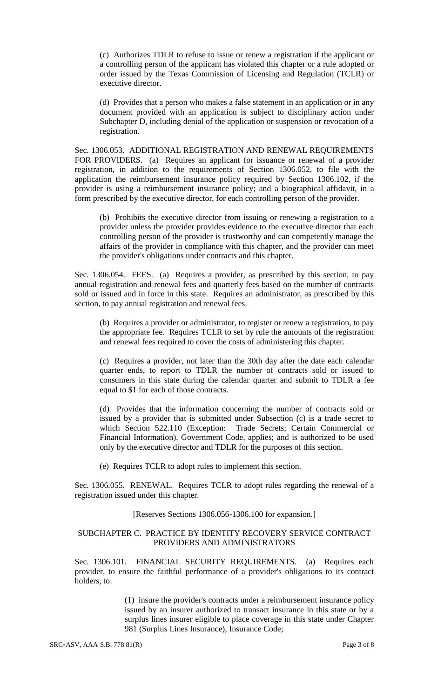(c) Authorizes TDLR to refuse to issue or renew a registration if the applicant or a controlling person of the applicant has violated this chapter or a rule adopted or order issued by the Texas Commission of Licensing and Regulation (TCLR) or executive director.

(d) Provides that a person who makes a false statement in an application or in any document provided with an application is subject to disciplinary action under Subchapter D, including denial of the application or suspension or revocation of a registration.

Sec. 1306.053. ADDITIONAL REGISTRATION AND RENEWAL REQUIREMENTS FOR PROVIDERS. (a) Requires an applicant for issuance or renewal of a provider registration, in addition to the requirements of Section 1306.052, to file with the application the reimbursement insurance policy required by Section 1306.102, if the provider is using a reimbursement insurance policy; and a biographical affidavit, in a form prescribed by the executive director, for each controlling person of the provider.

(b) Prohibits the executive director from issuing or renewing a registration to a provider unless the provider provides evidence to the executive director that each controlling person of the provider is trustworthy and can competently manage the affairs of the provider in compliance with this chapter, and the provider can meet the provider's obligations under contracts and this chapter.

Sec. 1306.054. FEES. (a) Requires a provider, as prescribed by this section, to pay annual registration and renewal fees and quarterly fees based on the number of contracts sold or issued and in force in this state. Requires an administrator, as prescribed by this section, to pay annual registration and renewal fees.

(b) Requires a provider or administrator, to register or renew a registration, to pay the appropriate fee. Requires TCLR to set by rule the amounts of the registration and renewal fees required to cover the costs of administering this chapter.

(c) Requires a provider, not later than the 30th day after the date each calendar quarter ends, to report to TDLR the number of contracts sold or issued to consumers in this state during the calendar quarter and submit to TDLR a fee equal to \$1 for each of those contracts.

(d) Provides that the information concerning the number of contracts sold or issued by a provider that is submitted under Subsection (c) is a trade secret to which Section 522.110 (Exception: Trade Secrets; Certain Commercial or Financial Information), Government Code, applies; and is authorized to be used only by the executive director and TDLR for the purposes of this section.

(e) Requires TCLR to adopt rules to implement this section.

Sec. 1306.055. RENEWAL. Requires TCLR to adopt rules regarding the renewal of a registration issued under this chapter.

#### [Reserves Sections 1306.056-1306.100 for expansion.]

### SUBCHAPTER C. PRACTICE BY IDENTITY RECOVERY SERVICE CONTRACT PROVIDERS AND ADMINISTRATORS

Sec. 1306.101. FINANCIAL SECURITY REQUIREMENTS. (a) Requires each provider, to ensure the faithful performance of a provider's obligations to its contract holders, to:

> (1) insure the provider's contracts under a reimbursement insurance policy issued by an insurer authorized to transact insurance in this state or by a surplus lines insurer eligible to place coverage in this state under Chapter 981 (Surplus Lines Insurance), Insurance Code;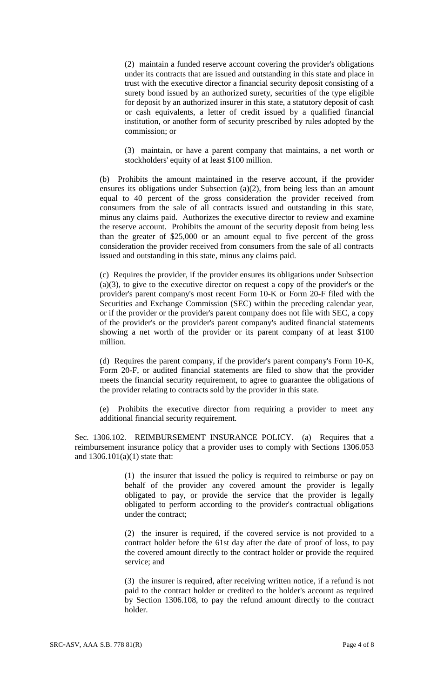(2) maintain a funded reserve account covering the provider's obligations under its contracts that are issued and outstanding in this state and place in trust with the executive director a financial security deposit consisting of a surety bond issued by an authorized surety, securities of the type eligible for deposit by an authorized insurer in this state, a statutory deposit of cash or cash equivalents, a letter of credit issued by a qualified financial institution, or another form of security prescribed by rules adopted by the commission; or

(3) maintain, or have a parent company that maintains, a net worth or stockholders' equity of at least \$100 million.

(b) Prohibits the amount maintained in the reserve account, if the provider ensures its obligations under Subsection  $(a)(2)$ , from being less than an amount equal to 40 percent of the gross consideration the provider received from consumers from the sale of all contracts issued and outstanding in this state, minus any claims paid. Authorizes the executive director to review and examine the reserve account. Prohibits the amount of the security deposit from being less than the greater of \$25,000 or an amount equal to five percent of the gross consideration the provider received from consumers from the sale of all contracts issued and outstanding in this state, minus any claims paid.

(c) Requires the provider, if the provider ensures its obligations under Subsection (a)(3), to give to the executive director on request a copy of the provider's or the provider's parent company's most recent Form 10-K or Form 20-F filed with the Securities and Exchange Commission (SEC) within the preceding calendar year, or if the provider or the provider's parent company does not file with SEC, a copy of the provider's or the provider's parent company's audited financial statements showing a net worth of the provider or its parent company of at least \$100 million.

(d) Requires the parent company, if the provider's parent company's Form 10-K, Form 20-F, or audited financial statements are filed to show that the provider meets the financial security requirement, to agree to guarantee the obligations of the provider relating to contracts sold by the provider in this state.

(e) Prohibits the executive director from requiring a provider to meet any additional financial security requirement.

Sec. 1306.102. REIMBURSEMENT INSURANCE POLICY. (a) Requires that a reimbursement insurance policy that a provider uses to comply with Sections 1306.053 and 1306.101(a)(1) state that:

> (1) the insurer that issued the policy is required to reimburse or pay on behalf of the provider any covered amount the provider is legally obligated to pay, or provide the service that the provider is legally obligated to perform according to the provider's contractual obligations under the contract;

> (2) the insurer is required, if the covered service is not provided to a contract holder before the 61st day after the date of proof of loss, to pay the covered amount directly to the contract holder or provide the required service; and

> (3) the insurer is required, after receiving written notice, if a refund is not paid to the contract holder or credited to the holder's account as required by Section 1306.108, to pay the refund amount directly to the contract holder.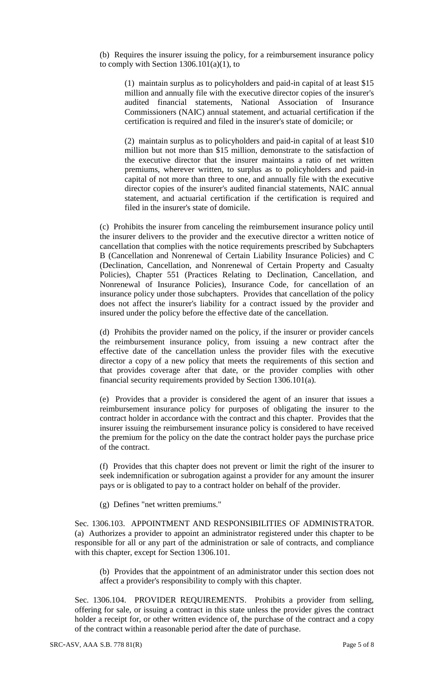(b) Requires the insurer issuing the policy, for a reimbursement insurance policy to comply with Section  $1306.101(a)(1)$ , to

(1) maintain surplus as to policyholders and paid-in capital of at least \$15 million and annually file with the executive director copies of the insurer's audited financial statements, National Association of Insurance Commissioners (NAIC) annual statement, and actuarial certification if the certification is required and filed in the insurer's state of domicile; or

(2) maintain surplus as to policyholders and paid-in capital of at least \$10 million but not more than \$15 million, demonstrate to the satisfaction of the executive director that the insurer maintains a ratio of net written premiums, wherever written, to surplus as to policyholders and paid-in capital of not more than three to one, and annually file with the executive director copies of the insurer's audited financial statements, NAIC annual statement, and actuarial certification if the certification is required and filed in the insurer's state of domicile.

(c) Prohibits the insurer from canceling the reimbursement insurance policy until the insurer delivers to the provider and the executive director a written notice of cancellation that complies with the notice requirements prescribed by Subchapters B (Cancellation and Nonrenewal of Certain Liability Insurance Policies) and C (Declination, Cancellation, and Nonrenewal of Certain Property and Casualty Policies), Chapter 551 (Practices Relating to Declination, Cancellation, and Nonrenewal of Insurance Policies), Insurance Code, for cancellation of an insurance policy under those subchapters. Provides that cancellation of the policy does not affect the insurer's liability for a contract issued by the provider and insured under the policy before the effective date of the cancellation.

(d) Prohibits the provider named on the policy, if the insurer or provider cancels the reimbursement insurance policy, from issuing a new contract after the effective date of the cancellation unless the provider files with the executive director a copy of a new policy that meets the requirements of this section and that provides coverage after that date, or the provider complies with other financial security requirements provided by Section 1306.101(a).

(e) Provides that a provider is considered the agent of an insurer that issues a reimbursement insurance policy for purposes of obligating the insurer to the contract holder in accordance with the contract and this chapter. Provides that the insurer issuing the reimbursement insurance policy is considered to have received the premium for the policy on the date the contract holder pays the purchase price of the contract.

(f) Provides that this chapter does not prevent or limit the right of the insurer to seek indemnification or subrogation against a provider for any amount the insurer pays or is obligated to pay to a contract holder on behalf of the provider.

(g) Defines "net written premiums."

Sec. 1306.103. APPOINTMENT AND RESPONSIBILITIES OF ADMINISTRATOR. (a) Authorizes a provider to appoint an administrator registered under this chapter to be responsible for all or any part of the administration or sale of contracts, and compliance with this chapter, except for Section 1306.101.

(b) Provides that the appointment of an administrator under this section does not affect a provider's responsibility to comply with this chapter.

Sec. 1306.104. PROVIDER REQUIREMENTS. Prohibits a provider from selling, offering for sale, or issuing a contract in this state unless the provider gives the contract holder a receipt for, or other written evidence of, the purchase of the contract and a copy of the contract within a reasonable period after the date of purchase.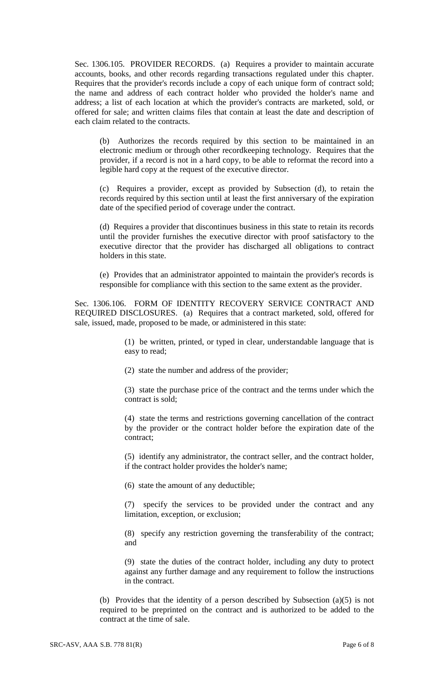Sec. 1306.105. PROVIDER RECORDS. (a) Requires a provider to maintain accurate accounts, books, and other records regarding transactions regulated under this chapter. Requires that the provider's records include a copy of each unique form of contract sold; the name and address of each contract holder who provided the holder's name and address; a list of each location at which the provider's contracts are marketed, sold, or offered for sale; and written claims files that contain at least the date and description of each claim related to the contracts.

(b) Authorizes the records required by this section to be maintained in an electronic medium or through other recordkeeping technology. Requires that the provider, if a record is not in a hard copy, to be able to reformat the record into a legible hard copy at the request of the executive director.

(c) Requires a provider, except as provided by Subsection (d), to retain the records required by this section until at least the first anniversary of the expiration date of the specified period of coverage under the contract.

(d) Requires a provider that discontinues business in this state to retain its records until the provider furnishes the executive director with proof satisfactory to the executive director that the provider has discharged all obligations to contract holders in this state.

(e) Provides that an administrator appointed to maintain the provider's records is responsible for compliance with this section to the same extent as the provider.

Sec. 1306.106. FORM OF IDENTITY RECOVERY SERVICE CONTRACT AND REQUIRED DISCLOSURES. (a) Requires that a contract marketed, sold, offered for sale, issued, made, proposed to be made, or administered in this state:

> (1) be written, printed, or typed in clear, understandable language that is easy to read;

(2) state the number and address of the provider;

(3) state the purchase price of the contract and the terms under which the contract is sold;

(4) state the terms and restrictions governing cancellation of the contract by the provider or the contract holder before the expiration date of the contract;

(5) identify any administrator, the contract seller, and the contract holder, if the contract holder provides the holder's name;

(6) state the amount of any deductible;

(7) specify the services to be provided under the contract and any limitation, exception, or exclusion;

(8) specify any restriction governing the transferability of the contract; and

(9) state the duties of the contract holder, including any duty to protect against any further damage and any requirement to follow the instructions in the contract.

(b) Provides that the identity of a person described by Subsection (a)(5) is not required to be preprinted on the contract and is authorized to be added to the contract at the time of sale.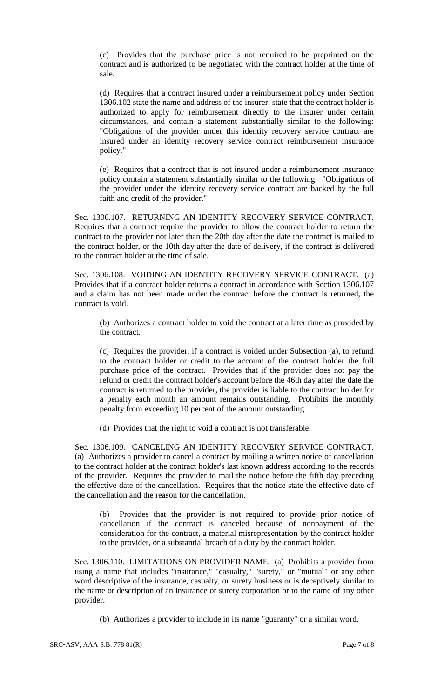(c) Provides that the purchase price is not required to be preprinted on the contract and is authorized to be negotiated with the contract holder at the time of sale.

(d) Requires that a contract insured under a reimbursement policy under Section 1306.102 state the name and address of the insurer, state that the contract holder is authorized to apply for reimbursement directly to the insurer under certain circumstances, and contain a statement substantially similar to the following: "Obligations of the provider under this identity recovery service contract are insured under an identity recovery service contract reimbursement insurance policy."

(e) Requires that a contract that is not insured under a reimbursement insurance policy contain a statement substantially similar to the following: "Obligations of the provider under the identity recovery service contract are backed by the full faith and credit of the provider."

Sec. 1306.107. RETURNING AN IDENTITY RECOVERY SERVICE CONTRACT. Requires that a contract require the provider to allow the contract holder to return the contract to the provider not later than the 20th day after the date the contract is mailed to the contract holder, or the 10th day after the date of delivery, if the contract is delivered to the contract holder at the time of sale.

Sec. 1306.108. VOIDING AN IDENTITY RECOVERY SERVICE CONTRACT. (a) Provides that if a contract holder returns a contract in accordance with Section 1306.107 and a claim has not been made under the contract before the contract is returned, the contract is void.

(b) Authorizes a contract holder to void the contract at a later time as provided by the contract.

(c) Requires the provider, if a contract is voided under Subsection (a), to refund to the contract holder or credit to the account of the contract holder the full purchase price of the contract. Provides that if the provider does not pay the refund or credit the contract holder's account before the 46th day after the date the contract is returned to the provider, the provider is liable to the contract holder for a penalty each month an amount remains outstanding. Prohibits the monthly penalty from exceeding 10 percent of the amount outstanding.

(d) Provides that the right to void a contract is not transferable.

Sec. 1306.109. CANCELING AN IDENTITY RECOVERY SERVICE CONTRACT. (a) Authorizes a provider to cancel a contract by mailing a written notice of cancellation to the contract holder at the contract holder's last known address according to the records of the provider. Requires the provider to mail the notice before the fifth day preceding the effective date of the cancellation. Requires that the notice state the effective date of the cancellation and the reason for the cancellation.

(b) Provides that the provider is not required to provide prior notice of cancellation if the contract is canceled because of nonpayment of the consideration for the contract, a material misrepresentation by the contract holder to the provider, or a substantial breach of a duty by the contract holder.

Sec. 1306.110. LIMITATIONS ON PROVIDER NAME. (a) Prohibits a provider from using a name that includes "insurance," "casualty," "surety," or "mutual" or any other word descriptive of the insurance, casualty, or surety business or is deceptively similar to the name or description of an insurance or surety corporation or to the name of any other provider.

(b) Authorizes a provider to include in its name "guaranty" or a similar word.